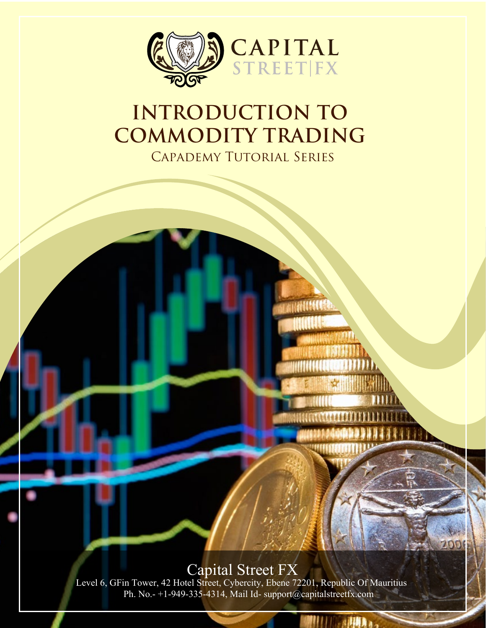

## **INTRODUCTION TO COMMODITY TRADING**  Capademy Tutorial Series

Capital Street FX<br>Level 6, GFin Tower, 42 Hotel Street, Cybercity, Ebene 72201, Republic Of Mauritius Ph. No.- +1-949-335-4314, Mail Id- support@capitalstreetfx.com

ALLIAN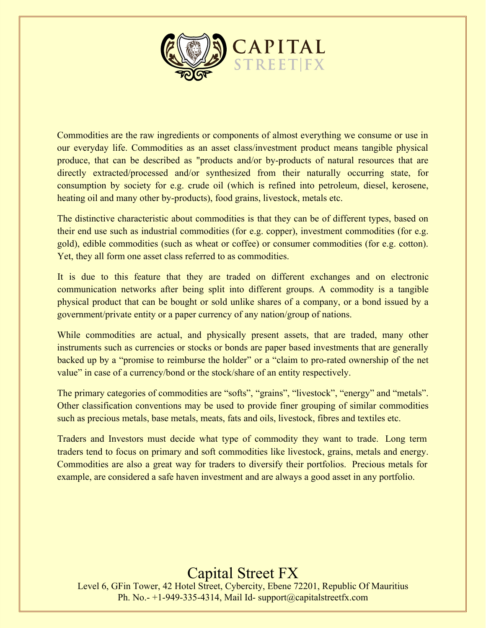

Commodities are the raw ingredients or components of almost everything we consume or use in our everyday life. Commodities as an asset class/investment product means tangible physical produce, that can be described as "products and/or by-products of natural resources that are directly extracted/processed and/or synthesized from their naturally occurring state, for consumption by society for e.g. crude oil (which is refined into petroleum, diesel, kerosene, heating oil and many other by-products), food grains, livestock, metals etc.

The distinctive characteristic about commodities is that they can be of different types, based on their end use such as industrial commodities (for e.g. copper), investment commodities (for e.g. gold), edible commodities (such as wheat or coffee) or consumer commodities (for e.g. cotton). Yet, they all form one asset class referred to as commodities.

It is due to this feature that they are traded on different exchanges and on electronic communication networks after being split into different groups. A commodity is a tangible physical product that can be bought or sold unlike shares of a company, or a bond issued by a government/private entity or a paper currency of any nation/group of nations.

While commodities are actual, and physically present assets, that are traded, many other instruments such as currencies or stocks or bonds are paper based investments that are generally backed up by a "promise to reimburse the holder" or a "claim to pro-rated ownership of the net value" in case of a currency/bond or the stock/share of an entity respectively.

The primary categories of commodities are "softs", "grains", "livestock", "energy" and "metals". Other classification conventions may be used to provide finer grouping of similar commodities such as precious metals, base metals, meats, fats and oils, livestock, fibres and textiles etc.

Traders and Investors must decide what type of commodity they want to trade. Long term traders tend to focus on primary and soft commodities like livestock, grains, metals and energy. Commodities are also a great way for traders to diversify their portfolios. Precious metals for example, are considered a safe haven investment and are always a good asset in any portfolio.

## Capital Street FX

Level 6, GFin Tower, 42 Hotel Street, Cybercity, Ebene 72201, Republic Of Mauritius Ph. No.- +1-949-335-4314, Mail Id- support@capitalstreetfx.com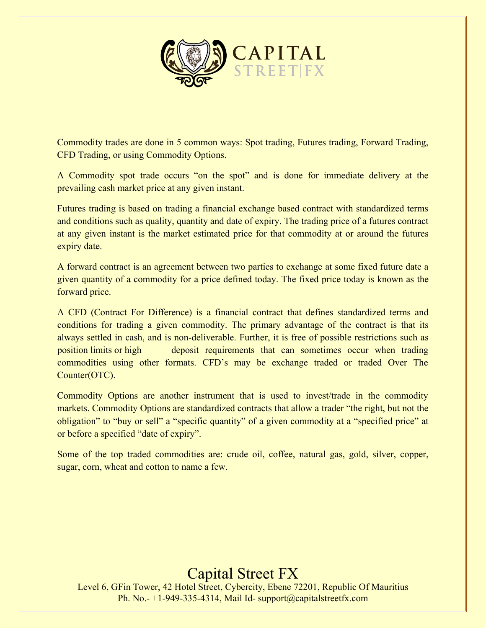

Commodity trades are done in 5 common ways: Spot trading, Futures trading, Forward Trading, CFD Trading, or using Commodity Options.

A Commodity spot trade occurs "on the spot" and is done for immediate delivery at the prevailing cash market price at any given instant.

Futures trading is based on trading a financial exchange based contract with standardized terms and conditions such as quality, quantity and date of expiry. The trading price of a futures contract at any given instant is the market estimated price for that commodity at or around the futures expiry date.

A forward contract is an agreement between two parties to exchange at some fixed future date a given quantity of a commodity for a price defined today. The fixed price today is known as the forward price.

A CFD (Contract For Difference) is a financial contract that defines standardized terms and conditions for trading a given commodity. The primary advantage of the contract is that its always settled in cash, and is non-deliverable. Further, it is free of possible restrictions such as position limits or high deposit requirements that can sometimes occur when trading commodities using other formats. CFD's may be exchange traded or traded Over The Counter(OTC).

Commodity Options are another instrument that is used to invest/trade in the commodity markets. Commodity Options are standardized contracts that allow a trader "the right, but not the obligation" to "buy or sell" a "specific quantity" of a given commodity at a "specified price" at or before a specified "date of expiry".

Some of the top traded commodities are: crude oil, coffee, natural gas, gold, silver, copper, sugar, corn, wheat and cotton to name a few.

## Capital Street FX

Level 6, GFin Tower, 42 Hotel Street, Cybercity, Ebene 72201, Republic Of Mauritius Ph. No.- +1-949-335-4314, Mail Id- support@capitalstreetfx.com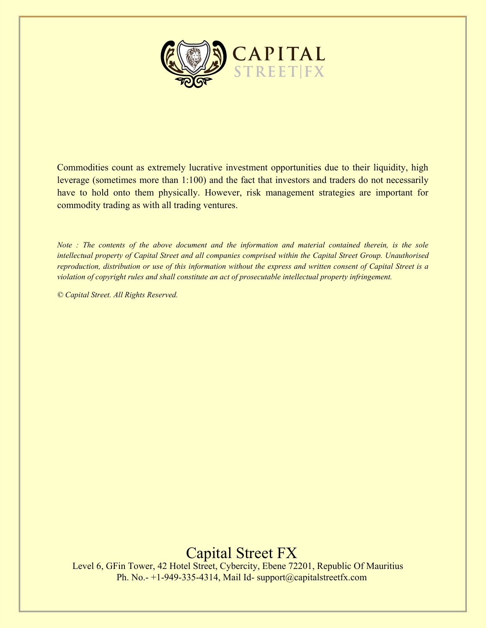

Commodities count as extremely lucrative investment opportunities due to their liquidity, high leverage (sometimes more than 1:100) and the fact that investors and traders do not necessarily have to hold onto them physically. However, risk management strategies are important for commodity trading as with all trading ventures.

*Note : The contents of the above document and the information and material contained therein, is the sole intellectual property of Capital Street and all companies comprised within the Capital Street Group. Unauthorised reproduction, distribution or use of this information without the express and written consent of Capital Street is a violation of copyright rules and shall constitute an act of prosecutable intellectual property infringement.* 

*© Capital Street. All Rights Reserved.* 

Capital Street FX Level 6, GFin Tower, 42 Hotel Street, Cybercity, Ebene 72201, Republic Of Mauritius

Ph. No.- +1-949-335-4314, Mail Id- support@capitalstreetfx.com